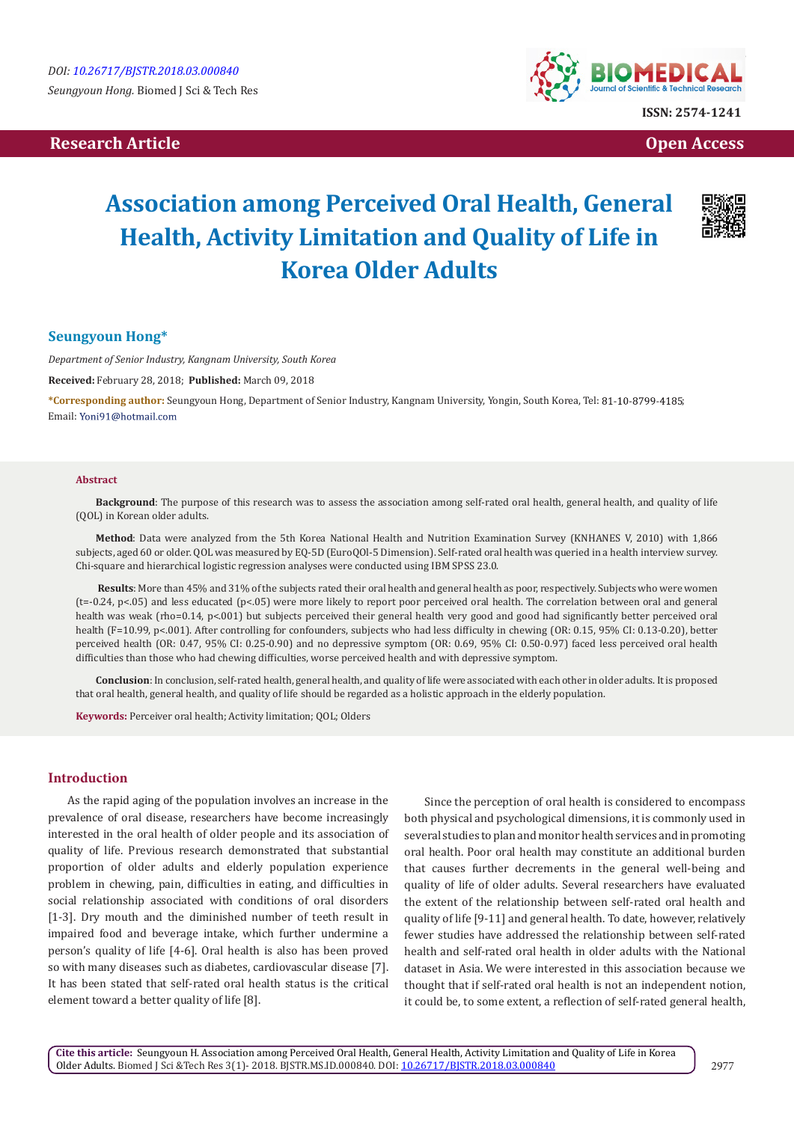## **Research Article Open Access Contract Article Open Access Open Access Open Access**



# **Association among Perceived Oral Health, General Health, Activity Limitation and Quality of Life in Korea Older Adults**



## **Seungyoun Hong\***

*Department of Senior Industry, Kangnam University, South Korea*

**Received:** February 28, 2018; **Published:** March 09, 2018

**\*Corresponding author:** Seungyoun Hong, Department of Senior Industry, Kangnam University, Yongin, South Korea, Tel: ; Email: Yoni91@hotmail.com

#### **Abstract**

**Background**: The purpose of this research was to assess the association among self-rated oral health, general health, and quality of life (QOL) in Korean older adults.

**Method**: Data were analyzed from the 5th Korea National Health and Nutrition Examination Survey (KNHANES V, 2010) with 1,866 subjects, aged 60 or older. QOL was measured by EQ-5D (EuroQOl-5 Dimension). Self-rated oral health was queried in a health interview survey. Chi-square and hierarchical logistic regression analyses were conducted using IBM SPSS 23.0.

**Results**: More than 45% and 31% of the subjects rated their oral health and general health as poor, respectively. Subjects who were women (t=-0.24, p<.05) and less educated (p<.05) were more likely to report poor perceived oral health. The correlation between oral and general health was weak (rho=0.14, p<.001) but subjects perceived their general health very good and good had significantly better perceived oral health (F=10.99, p<.001). After controlling for confounders, subjects who had less difficulty in chewing (OR: 0.15, 95% CI: 0.13-0.20), better perceived health (OR: 0.47, 95% CI: 0.25-0.90) and no depressive symptom (OR: 0.69, 95% CI: 0.50-0.97) faced less perceived oral health difficulties than those who had chewing difficulties, worse perceived health and with depressive symptom.

**Conclusion**: In conclusion, self-rated health, general health, and quality of life were associated with each other in older adults. It is proposed that oral health, general health, and quality of life should be regarded as a holistic approach in the elderly population.

**Keywords:** Perceiver oral health; Activity limitation; QOL; Olders

## **Introduction**

As the rapid aging of the population involves an increase in the prevalence of oral disease, researchers have become increasingly interested in the oral health of older people and its association of quality of life. Previous research demonstrated that substantial proportion of older adults and elderly population experience problem in chewing, pain, difficulties in eating, and difficulties in social relationship associated with conditions of oral disorders [1-3]. Dry mouth and the diminished number of teeth result in impaired food and beverage intake, which further undermine a person's quality of life [4-6]. Oral health is also has been proved so with many diseases such as diabetes, cardiovascular disease [7]. It has been stated that self-rated oral health status is the critical element toward a better quality of life [8].

Since the perception of oral health is considered to encompass both physical and psychological dimensions, it is commonly used in several studies to plan and monitor health services and in promoting oral health. Poor oral health may constitute an additional burden that causes further decrements in the general well-being and quality of life of older adults. Several researchers have evaluated the extent of the relationship between self-rated oral health and quality of life [9-11] and general health. To date, however, relatively fewer studies have addressed the relationship between self-rated health and self-rated oral health in older adults with the National dataset in Asia. We were interested in this association because we thought that if self-rated oral health is not an independent notion, it could be, to some extent, a reflection of self-rated general health,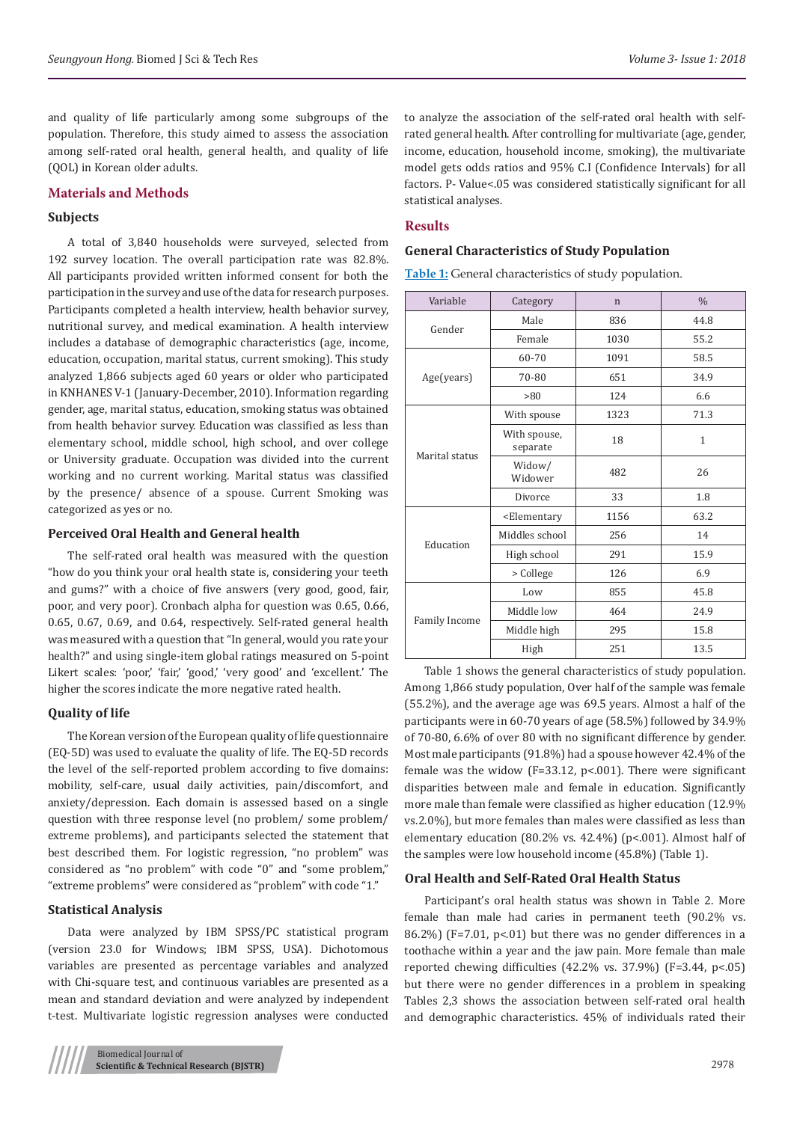and quality of life particularly among some subgroups of the population. Therefore, this study aimed to assess the association among self-rated oral health, general health, and quality of life (QOL) in Korean older adults.

#### **Materials and Methods**

#### **Subjects**

A total of 3,840 households were surveyed, selected from 192 survey location. The overall participation rate was 82.8%. All participants provided written informed consent for both the participation in the survey and use of the data for research purposes. Participants completed a health interview, health behavior survey, nutritional survey, and medical examination. A health interview includes a database of demographic characteristics (age, income, education, occupation, marital status, current smoking). This study analyzed 1,866 subjects aged 60 years or older who participated in KNHANES V-1 (January-December, 2010). Information regarding gender, age, marital status, education, smoking status was obtained from health behavior survey. Education was classified as less than elementary school, middle school, high school, and over college or University graduate. Occupation was divided into the current working and no current working. Marital status was classified by the presence/ absence of a spouse. Current Smoking was categorized as yes or no.

#### **Perceived Oral Health and General health**

The self-rated oral health was measured with the question "how do you think your oral health state is, considering your teeth and gums?" with a choice of five answers (very good, good, fair, poor, and very poor). Cronbach alpha for question was 0.65, 0.66, 0.65, 0.67, 0.69, and 0.64, respectively. Self-rated general health was measured with a question that "In general, would you rate your health?" and using single-item global ratings measured on 5-point Likert scales: 'poor,' 'fair,' 'good,' 'very good' and 'excellent.' The higher the scores indicate the more negative rated health.

#### **Quality of life**

The Korean version of the European quality of life questionnaire (EQ-5D) was used to evaluate the quality of life. The EQ-5D records the level of the self-reported problem according to five domains: mobility, self-care, usual daily activities, pain/discomfort, and anxiety/depression. Each domain is assessed based on a single question with three response level (no problem/ some problem/ extreme problems), and participants selected the statement that best described them. For logistic regression, "no problem" was considered as "no problem" with code "0" and "some problem," "extreme problems" were considered as "problem" with code "1."

## **Statistical Analysis**

Data were analyzed by IBM SPSS/PC statistical program (version 23.0 for Windows; IBM SPSS, USA). Dichotomous variables are presented as percentage variables and analyzed with Chi-square test, and continuous variables are presented as a mean and standard deviation and were analyzed by independent t-test. Multivariate logistic regression analyses were conducted

to analyze the association of the self-rated oral health with selfrated general health. After controlling for multivariate (age, gender, income, education, household income, smoking), the multivariate model gets odds ratios and 95% C.I (Confidence Intervals) for all factors. P- Value<.05 was considered statistically significant for all statistical analyses.

### **Results**

#### **General Characteristics of Study Population**

**Table 1:** General characteristics of study population.

| Variable       | Category                                                    | $\mathbf n$ | $\frac{0}{0}$ |  |
|----------------|-------------------------------------------------------------|-------------|---------------|--|
| Gender         | Male                                                        | 836         | 44.8          |  |
|                | Female                                                      | 1030        | 55.2          |  |
|                | 60-70                                                       | 1091        | 58.5          |  |
| Age(years)     | 70-80                                                       | 651         | 34.9          |  |
|                | >80                                                         | 124         | 6.6           |  |
|                | With spouse                                                 | 1323        | 71.3          |  |
| Marital status | With spouse,<br>separate                                    | 18          | $\mathbf{1}$  |  |
|                | Widow/<br>Widower                                           | 482         | 26            |  |
|                | Divorce                                                     | 33          | 1.8           |  |
|                | <elementary< td=""><td>1156</td><td>63.2</td></elementary<> | 1156        | 63.2          |  |
|                | Middles school                                              | 256         | 14            |  |
| Education      | High school                                                 | 291         | 15.9          |  |
|                | > College                                                   | 126         | 6.9           |  |
|                | Low                                                         | 855         | 45.8          |  |
|                | Middle low                                                  | 464         | 24.9          |  |
| Family Income  | Middle high                                                 | 295         | 15.8          |  |
|                | High                                                        | 251         | 13.5          |  |

Table 1 shows the general characteristics of study population. Among 1,866 study population, Over half of the sample was female (55.2%), and the average age was 69.5 years. Almost a half of the participants were in 60-70 years of age (58.5%) followed by 34.9% of 70-80, 6.6% of over 80 with no significant difference by gender. Most male participants (91.8%) had a spouse however 42.4% of the female was the widow (F=33.12, p<.001). There were significant disparities between male and female in education. Significantly more male than female were classified as higher education (12.9% vs.2.0%), but more females than males were classified as less than elementary education (80.2% vs. 42.4%) (p<.001). Almost half of the samples were low household income (45.8%) (Table 1).

#### **Oral Health and Self-Rated Oral Health Status**

Participant's oral health status was shown in Table 2. More female than male had caries in permanent teeth (90.2% vs. 86.2%) (F=7.01, p<.01) but there was no gender differences in a toothache within a year and the jaw pain. More female than male reported chewing difficulties (42.2% vs. 37.9%) (F=3.44, p<.05) but there were no gender differences in a problem in speaking Tables 2,3 shows the association between self-rated oral health and demographic characteristics. 45% of individuals rated their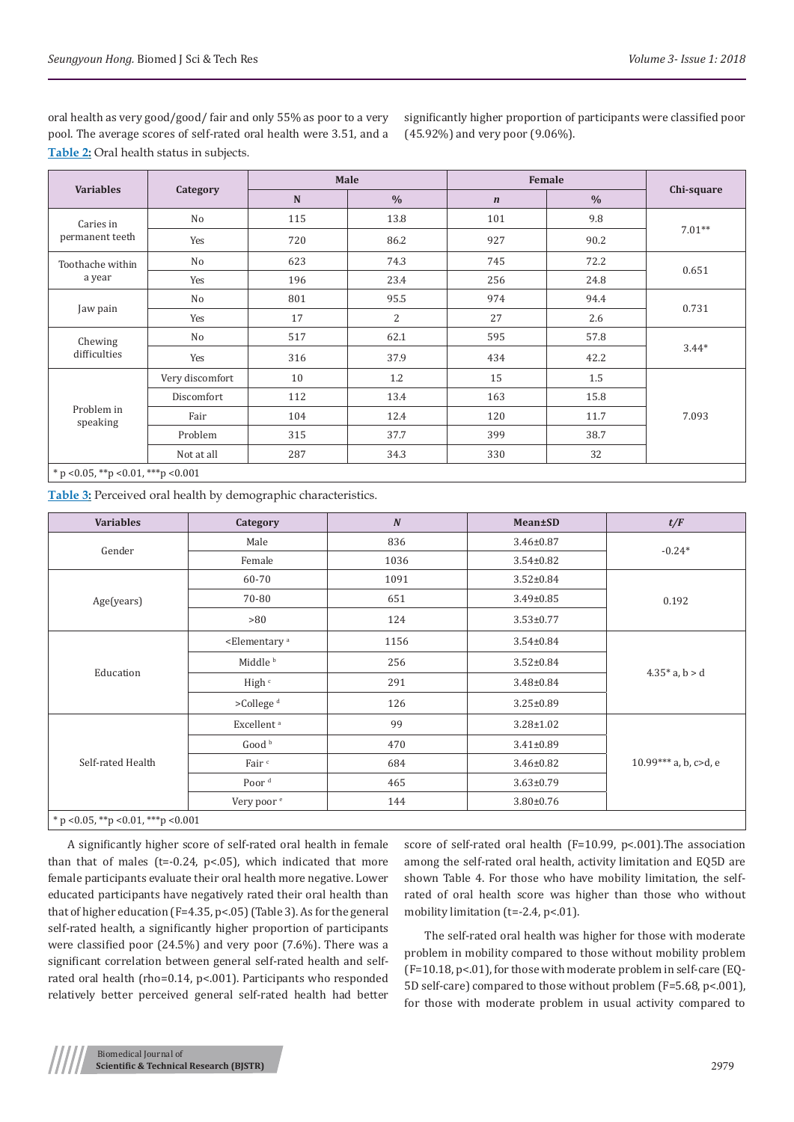oral health as very good/good/ fair and only 55% as poor to a very pool. The average scores of self-rated oral health were 3.51, and a **Table 2:** Oral health status in subjects.

significantly higher proportion of participants were classified poor (45.92%) and very poor (9.06%).

| <b>Variables</b>                   | Category        | Male |                | Female           |               |            |  |
|------------------------------------|-----------------|------|----------------|------------------|---------------|------------|--|
|                                    |                 | N    | $\frac{0}{0}$  | $\boldsymbol{n}$ | $\frac{0}{0}$ | Chi-square |  |
| Caries in<br>permanent teeth       | No              | 115  | 13.8           | 101              | 9.8           |            |  |
|                                    | Yes             | 720  | 86.2           | 927              | 90.2          | $7.01**$   |  |
| Toothache within                   | No              | 623  | 74.3           | 745              | 72.2          | 0.651      |  |
| a year                             | Yes             | 196  | 23.4           | 256              | 24.8          |            |  |
| Jaw pain                           | No              | 801  | 95.5           | 974              | 94.4          | 0.731      |  |
|                                    | Yes             | 17   | $\overline{2}$ | 27               | 2.6           |            |  |
| Chewing<br>difficulties            | No              | 517  | 62.1           | 595              | 57.8          | $3.44*$    |  |
|                                    | Yes             | 316  | 37.9           | 434              | 42.2          |            |  |
| Problem in<br>speaking             | Very discomfort | 10   | 1.2            | 15               | 1.5           |            |  |
|                                    | Discomfort      | 112  | 13.4           | 163              | 15.8          |            |  |
|                                    | Fair            | 104  | 12.4           | 120              | 11.7          | 7.093      |  |
|                                    | Problem         | 315  | 37.7           | 399              | 38.7          |            |  |
|                                    | Not at all      | 287  | 34.3           | 330              | 32            |            |  |
| $* - 0.05$ $* - 0.01$ $* + - 0.04$ |                 |      |                |                  |               |            |  |

\* p <0.05, \*\*p <0.01, \*\*\*p <0.001

**Table 3:** Perceived oral health by demographic characteristics.

| <b>Variables</b>                       | Category                           | $\boldsymbol{N}$ | Mean±SD         | t/F                   |  |
|----------------------------------------|------------------------------------|------------------|-----------------|-----------------------|--|
| Gender                                 | Male                               | 836              | $3.46 \pm 0.87$ | $-0.24*$              |  |
|                                        | Female                             | 1036             | $3.54 \pm 0.82$ |                       |  |
|                                        | 60-70                              | 1091             | $3.52 \pm 0.84$ |                       |  |
| Age(years)                             | 70-80                              | 651              | $3.49 \pm 0.85$ | 0.192                 |  |
|                                        | >80                                | 124              | $3.53 \pm 0.77$ |                       |  |
| Education                              | <elementary<sup>a</elementary<sup> | 1156             | $3.54 \pm 0.84$ |                       |  |
|                                        | Middle <sup>b</sup>                | 256              | $3.52 \pm 0.84$ |                       |  |
|                                        | High <sup>c</sup>                  | 291              | $3.48 \pm 0.84$ | $4.35*$ a, b > d      |  |
|                                        | >College <sup>d</sup>              | 126              | $3.25 \pm 0.89$ |                       |  |
| Self-rated Health                      | Excellent <sup>a</sup>             | 99               | $3.28 \pm 1.02$ |                       |  |
|                                        | Good <sup>b</sup>                  | 470              | $3.41 \pm 0.89$ |                       |  |
|                                        | Fair <sup>c</sup>                  | 684              | $3.46 \pm 0.82$ | 10.99*** a, b, c>d, e |  |
|                                        | Poor <sup>d</sup>                  | 465              | $3.63 \pm 0.79$ |                       |  |
|                                        | Very poor <sup>e</sup>             | 144              | $3.80 \pm 0.76$ |                       |  |
| * p < 0.05, ** p < 0.01, *** p < 0.001 |                                    |                  |                 |                       |  |

A significantly higher score of self-rated oral health in female than that of males ( $t=-0.24$ ,  $p<.05$ ), which indicated that more female participants evaluate their oral health more negative. Lower educated participants have negatively rated their oral health than that of higher education (F=4.35, p<.05) (Table 3). As for the general self-rated health, a significantly higher proportion of participants were classified poor (24.5%) and very poor (7.6%). There was a significant correlation between general self-rated health and selfrated oral health (rho=0.14, p<.001). Participants who responded relatively better perceived general self-rated health had better

score of self-rated oral health (F=10.99, p<.001).The association among the self-rated oral health, activity limitation and EQ5D are shown Table 4. For those who have mobility limitation, the selfrated of oral health score was higher than those who without mobility limitation ( $t=-2.4$ ,  $p<-01$ ).

The self-rated oral health was higher for those with moderate problem in mobility compared to those without mobility problem (F=10.18, p<.01), for those with moderate problem in self-care (EQ-5D self-care) compared to those without problem (F=5.68, p<.001), for those with moderate problem in usual activity compared to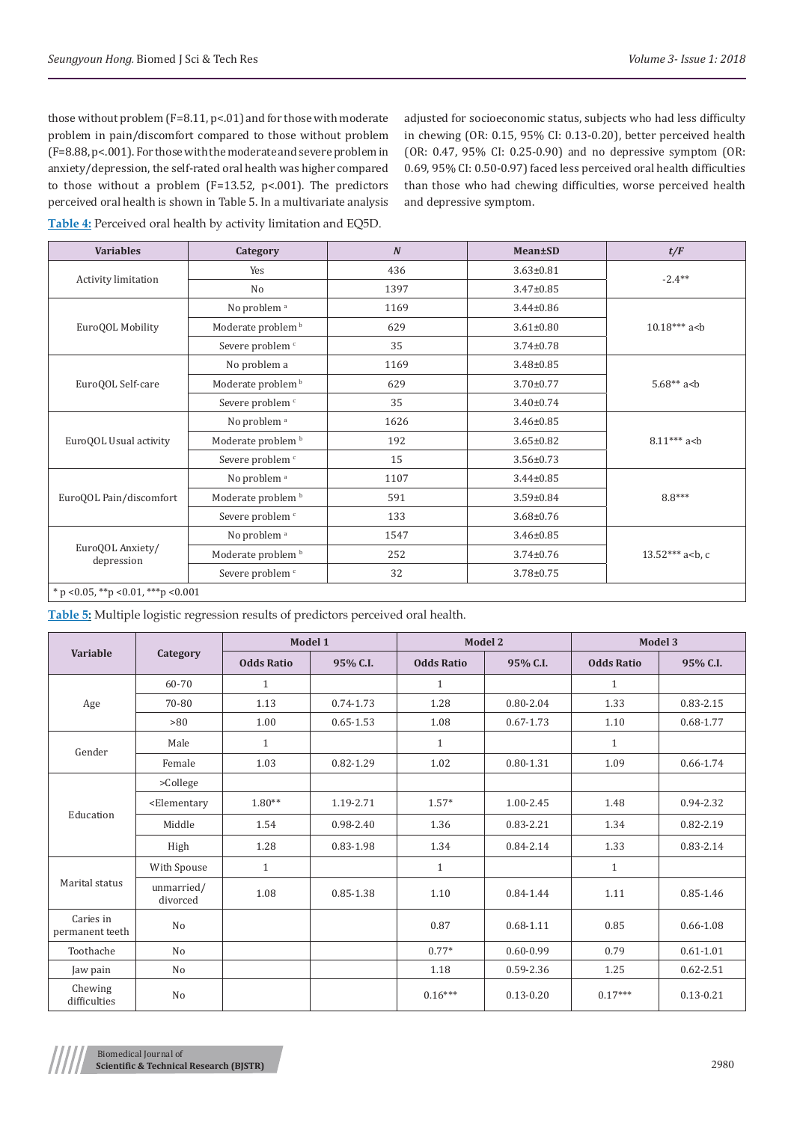those without problem (F=8.11, p<.01) and for those with moderate problem in pain/discomfort compared to those without problem (F=8.88, p<.001). For those with the moderate and severe problem in anxiety/depression, the self-rated oral health was higher compared to those without a problem (F=13.52, p<.001). The predictors perceived oral health is shown in Table 5. In a multivariate analysis adjusted for socioeconomic status, subjects who had less difficulty in chewing (OR: 0.15, 95% CI: 0.13-0.20), better perceived health (OR: 0.47, 95% CI: 0.25-0.90) and no depressive symptom (OR: 0.69, 95% CI: 0.50-0.97) faced less perceived oral health difficulties than those who had chewing difficulties, worse perceived health and depressive symptom.

**Table 4:** Perceived oral health by activity limitation and EQ5D.

| <b>Variables</b>                                      | Category                      | $\boldsymbol{N}$ | Mean±SD         | t/F                   |
|-------------------------------------------------------|-------------------------------|------------------|-----------------|-----------------------|
|                                                       | Yes                           | 436              | $3.63 \pm 0.81$ | $-2.4**$              |
| Activity limitation                                   | No                            | 1397             | $3.47 \pm 0.85$ |                       |
|                                                       | No problem <sup>a</sup>       | 1169             | $3.44 \pm 0.86$ |                       |
| EuroQOL Mobility                                      | Moderate problem <sup>b</sup> | 629              | $3.61 \pm 0.80$ | $10.18***$ a<br>sheld |
|                                                       | Severe problem <sup>c</sup>   | 35               | $3.74 \pm 0.78$ |                       |
|                                                       | No problem a                  | 1169             | $3.48 \pm 0.85$ |                       |
| EuroQOL Self-care                                     | Moderate problem <sup>b</sup> | 629              | $3.70 \pm 0.77$ | $5.68**a$             |
|                                                       | Severe problem <sup>c</sup>   | 35               | $3.40 \pm 0.74$ |                       |
| EuroQOL Usual activity                                | No problem <sup>a</sup>       | 1626             | $3.46 \pm 0.85$ |                       |
|                                                       | Moderate problem <sup>b</sup> | 192              | $3.65 \pm 0.82$ | $8.11***$ a<br>b      |
|                                                       | Severe problem <sup>c</sup>   | 15               | $3.56 \pm 0.73$ |                       |
| EuroQOL Pain/discomfort                               | No problem <sup>a</sup>       | 1107             | $3.44 \pm 0.85$ |                       |
|                                                       | Moderate problem <sup>b</sup> | 591              | $3.59 \pm 0.84$ | $8.8***$              |
|                                                       | Severe problem <sup>c</sup>   | 133              | $3.68 \pm 0.76$ |                       |
| EuroQOL Anxiety/<br>depression                        | No problem <sup>a</sup>       | 1547             | $3.46 \pm 0.85$ |                       |
|                                                       | Moderate problem <sup>b</sup> | 252              | $3.74 \pm 0.76$ | $13.52***$ a<br>sh, c |
|                                                       | Severe problem <sup>c</sup>   | 32               | $3.78 \pm 0.75$ |                       |
| $*$ p < 0.05, $*$ $*$ p < 0.01, $*$ $*$ $*$ p < 0.001 |                               |                  |                 |                       |

**Table 5:** Multiple logistic regression results of predictors perceived oral health.

| Variable                     | Category                                                                                                                                                    | Model 1           |               | Model 2           |               | Model 3           |               |
|------------------------------|-------------------------------------------------------------------------------------------------------------------------------------------------------------|-------------------|---------------|-------------------|---------------|-------------------|---------------|
|                              |                                                                                                                                                             | <b>Odds Ratio</b> | 95% C.I.      | <b>Odds Ratio</b> | 95% C.I.      | <b>Odds Ratio</b> | 95% C.I.      |
|                              | 60-70                                                                                                                                                       | $\mathbf{1}$      |               | $\mathbf{1}$      |               | $\mathbf{1}$      |               |
| Age                          | 70-80                                                                                                                                                       | 1.13              | 0.74-1.73     | 1.28              | $0.80 - 2.04$ | 1.33              | $0.83 - 2.15$ |
|                              | >80                                                                                                                                                         | 1.00              | $0.65 - 1.53$ | 1.08              | $0.67 - 1.73$ | 1.10              | 0.68-1.77     |
| Gender                       | Male                                                                                                                                                        | $\mathbf{1}$      |               | $\mathbf{1}$      |               | $\mathbf{1}$      |               |
|                              | Female                                                                                                                                                      | 1.03              | 0.82-1.29     | 1.02              | $0.80 - 1.31$ | 1.09              | 0.66-1.74     |
|                              | $>$ College                                                                                                                                                 |                   |               |                   |               |                   |               |
|                              | <elementary< td=""><td><math>1.80**</math></td><td>1.19-2.71</td><td><math>1.57*</math></td><td>1.00-2.45</td><td>1.48</td><td>0.94-2.32</td></elementary<> | $1.80**$          | 1.19-2.71     | $1.57*$           | 1.00-2.45     | 1.48              | 0.94-2.32     |
| Education                    | Middle                                                                                                                                                      | 1.54              | 0.98-2.40     | 1.36              | 0.83-2.21     | 1.34              | $0.82 - 2.19$ |
|                              | High                                                                                                                                                        | 1.28              | 0.83-1.98     | 1.34              | 0.84-2.14     | 1.33              | 0.83-2.14     |
|                              | With Spouse                                                                                                                                                 | $\mathbf{1}$      |               | $\mathbf{1}$      |               | $\mathbf{1}$      |               |
| Marital status               | unmarried/<br>divorced                                                                                                                                      | 1.08              | 0.85-1.38     | 1.10              | 0.84-1.44     | 1.11              | 0.85-1.46     |
| Caries in<br>permanent teeth | N <sub>o</sub>                                                                                                                                              |                   |               | 0.87              | $0.68 - 1.11$ | 0.85              | $0.66 - 1.08$ |
| Toothache                    | N <sub>o</sub>                                                                                                                                              |                   |               | $0.77*$           | $0.60 - 0.99$ | 0.79              | $0.61 - 1.01$ |
| Jaw pain                     | N <sub>o</sub>                                                                                                                                              |                   |               | 1.18              | 0.59-2.36     | 1.25              | $0.62 - 2.51$ |
| Chewing<br>difficulties      | N <sub>o</sub>                                                                                                                                              |                   |               | $0.16***$         | $0.13 - 0.20$ | $0.17***$         | $0.13 - 0.21$ |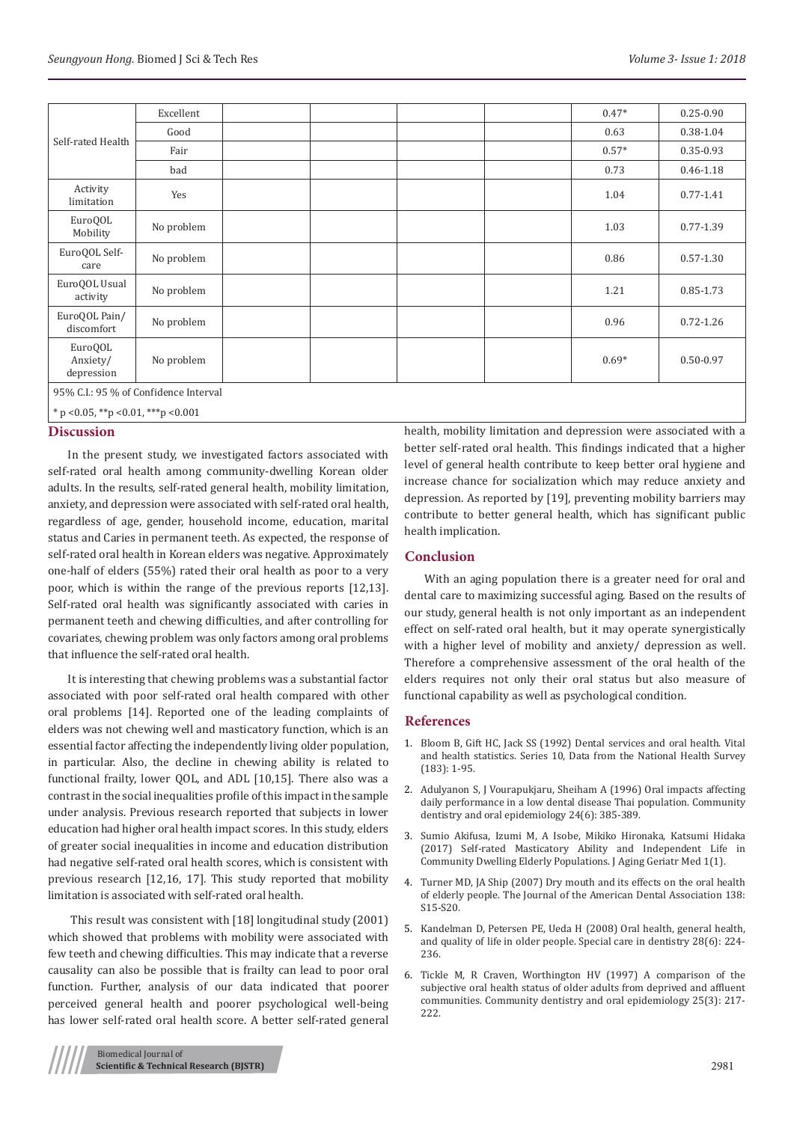|                                       | Excellent  |  |  |  |  | $0.47*$ | $0.25 - 0.90$ |
|---------------------------------------|------------|--|--|--|--|---------|---------------|
| Self-rated Health                     | Good       |  |  |  |  | 0.63    | 0.38-1.04     |
|                                       | Fair       |  |  |  |  | $0.57*$ | $0.35 - 0.93$ |
|                                       | bad        |  |  |  |  | 0.73    | $0.46 - 1.18$ |
| Activity<br>limitation                | Yes        |  |  |  |  | 1.04    | $0.77 - 1.41$ |
| EuroQOL<br>Mobility                   | No problem |  |  |  |  | 1.03    | $0.77 - 1.39$ |
| EuroQOL Self-<br>care                 | No problem |  |  |  |  | 0.86    | $0.57 - 1.30$ |
| EuroQOL Usual<br>activity             | No problem |  |  |  |  | 1.21    | $0.85 - 1.73$ |
| EuroQOL Pain/<br>discomfort           | No problem |  |  |  |  | 0.96    | $0.72 - 1.26$ |
| EuroQOL<br>Anxiety/<br>depression     | No problem |  |  |  |  | $0.69*$ | $0.50 - 0.97$ |
| 95% C.I.: 95 % of Confidence Interval |            |  |  |  |  |         |               |

 $*$  p <0.05,  $*$  $*$ p <0.01,  $**$ p <0.001

## **Discussion**

In the present study, we investigated factors associated with self-rated oral health among community-dwelling Korean older adults. In the results, self-rated general health, mobility limitation, anxiety, and depression were associated with self-rated oral health, regardless of age, gender, household income, education, marital status and Caries in permanent teeth. As expected, the response of self-rated oral health in Korean elders was negative. Approximately one-half of elders (55%) rated their oral health as poor to a very poor, which is within the range of the previous reports [12,13]. Self-rated oral health was significantly associated with caries in permanent teeth and chewing difficulties, and after controlling for covariates, chewing problem was only factors among oral problems that influence the self-rated oral health.

It is interesting that chewing problems was a substantial factor associated with poor self-rated oral health compared with other oral problems [14]. Reported one of the leading complaints of elders was not chewing well and masticatory function, which is an essential factor affecting the independently living older population, in particular. Also, the decline in chewing ability is related to functional frailty, lower QOL, and ADL [10,15]. There also was a contrast in the social inequalities profile of this impact in the sample under analysis. Previous research reported that subjects in lower education had higher oral health impact scores. In this study, elders of greater social inequalities in income and education distribution had negative self-rated oral health scores, which is consistent with previous research [12,16, 17]. This study reported that mobility limitation is associated with self-rated oral health.

 This result was consistent with [18] longitudinal study (2001) which showed that problems with mobility were associated with few teeth and chewing difficulties. This may indicate that a reverse causality can also be possible that is frailty can lead to poor oral function. Further, analysis of our data indicated that poorer perceived general health and poorer psychological well-being has lower self-rated oral health score. A better self-rated general

health, mobility limitation and depression were associated with a better self-rated oral health. This findings indicated that a higher level of general health contribute to keep better oral hygiene and increase chance for socialization which may reduce anxiety and depression. As reported by [19], preventing mobility barriers may contribute to better general health, which has significant public health implication.

## **Conclusion**

With an aging population there is a greater need for oral and dental care to maximizing successful aging. Based on the results of our study, general health is not only important as an independent effect on self-rated oral health, but it may operate synergistically with a higher level of mobility and anxiety/ depression as well. Therefore a comprehensive assessment of the oral health of the elders requires not only their oral status but also measure of functional capability as well as psychological condition.

#### **References**

- 1. [Bloom B, Gift HC, Jack SS \(1992\) Dental services and oral health. Vital](https://www.cdc.gov/nchs/data/series/sr_10/sr10_183.pdf) [and health statistics. Series 10, Data from the National Health Survey](https://www.cdc.gov/nchs/data/series/sr_10/sr10_183.pdf) [\(183\): 1-95.](https://www.cdc.gov/nchs/data/series/sr_10/sr10_183.pdf)
- 2. [Adulyanon S, J Vourapukjaru, Sheiham A \(1996\) Oral impacts affecting](https://www.ncbi.nlm.nih.gov/pubmed/9007354) [daily performance in a low dental disease Thai population. Community](https://www.ncbi.nlm.nih.gov/pubmed/9007354) [dentistry and oral epidemiology 24\(6\): 385-389.](https://www.ncbi.nlm.nih.gov/pubmed/9007354)
- 3. [Sumio Akifusa, Izumi M, A Isobe, Mikiko Hironaka, Katsumi Hidaka](https://www.scitechnol.com/peer-review/selfrated-masticatory-ability-and-independent-life-in-community-dwelling-elderlypopulations-AYT1.php?article_id=5853) [\(2017\) Self-rated Masticatory Ability and Independent Life in](https://www.scitechnol.com/peer-review/selfrated-masticatory-ability-and-independent-life-in-community-dwelling-elderlypopulations-AYT1.php?article_id=5853) [Community Dwelling Elderly Populations. J Aging Geriatr Med 1\(1\).](https://www.scitechnol.com/peer-review/selfrated-masticatory-ability-and-independent-life-in-community-dwelling-elderlypopulations-AYT1.php?article_id=5853)
- 4. [Turner MD, JA Ship \(2007\) Dry mouth and its effects on the oral health](https://www.ncbi.nlm.nih.gov/pubmed/17761841) [of elderly people. The Journal of the American Dental Association 138:](https://www.ncbi.nlm.nih.gov/pubmed/17761841) [S15-S20.](https://www.ncbi.nlm.nih.gov/pubmed/17761841)
- 5. [Kandelman D, Petersen PE, Ueda H \(2008\) Oral health, general health,](https://www.ncbi.nlm.nih.gov/pubmed/19068063) [and quality of life in older people. Special care in dentistry 28\(6\): 224-](https://www.ncbi.nlm.nih.gov/pubmed/19068063) [236.](https://www.ncbi.nlm.nih.gov/pubmed/19068063)
- 6. [Tickle M, R Craven, Worthington HV \(1997\) A comparison of the](https://www.ncbi.nlm.nih.gov/pubmed/9192150) [subjective oral health status of older adults from deprived and affluent](https://www.ncbi.nlm.nih.gov/pubmed/9192150) [communities. Community dentistry and oral epidemiology 25\(3\): 217-](https://www.ncbi.nlm.nih.gov/pubmed/9192150) [222.](https://www.ncbi.nlm.nih.gov/pubmed/9192150)